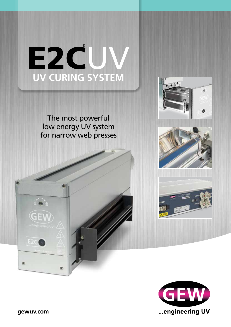

The most powerful low energy UV system for narrow web presses







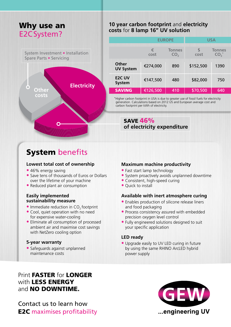# Why use an E2CSystem?

System Investment • Installation Spare Parts • Servicing



# **System benefits**

#### **Lowest total cost of ownership**

- **•** 46% energy saving
- **•** Save tens of thousands of Euros or Dollars over the lifetime of your machine
- **•** Reduced plant air consumption

#### **Easily implemented sustainability measure**

- **•** Immediate reduction in CO<sub>2</sub> footprint
- **•** Cool, quiet operation with no need for expensive water-cooling
- **•** Eliminate all consumption of processed ambient air and maximise cost savings with NetZero cooling option

#### **5-year warranty**

**•** Safeguards against unplanned maintenance costs

## **10 year carbon footprint** and **electricity costs** for **8 lamp 16" UV solution**

|                                  | <b>EUROPE</b> |                                  | USA       |                                  |
|----------------------------------|---------------|----------------------------------|-----------|----------------------------------|
|                                  |               |                                  |           |                                  |
|                                  | €<br>cost     | <b>Tonnes</b><br>CO <sub>2</sub> | S<br>cost | <b>Tonnes</b><br>CO <sub>2</sub> |
| <b>Other</b><br><b>UV System</b> | €274,000      | 890                              | \$152,500 | 1390                             |
| <b>E2C UV</b><br><b>System</b>   | €147,500      | 480                              | \$82,000  | 750                              |
| <b>SAVING</b>                    | €126,500      | 410                              | \$70,500  | 640                              |

\*Higher carbon footprint in USA is due to greater use of fossil fuels for electricity generation. Calculations based on 2012 US and European average cost and carbon footprint per kWh of electricity.

SAVE 46% **of electricity expenditure**

#### **Maximum machine productivity**

- **•** Fast start lamp technology
- **•** System proactively avoids unplanned downtime
- **•** Consistent, high-speed curing
- **•** Quick to install

#### **Available with inert atmosphere curing**

- **•** Enables production of silicone release liners and food packaging
- **•** Process consistency assured with embedded precision oxygen level control
- **•** Fully engineered solutions designed to suit your specific application

### **LED ready**

**•** Upgrade easily to UV LED curing in future by using the same RHINO ArcLED hybrid power supply

# Print FASTER for LONGER with LESS ENERGY and **NO DOWNTIME.**

Contact us to learn how E2C maximises profitability

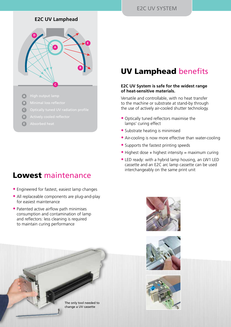## **E2C UV Lamphead**



- **A** High output lamp
- **B**
- Optically tuned UV radiation profile **C**
- **D**
- Absorbed heat **E**

# Lowest maintenance

- **•** Engineered for fastest, easiest lamp changes
- **•** All replaceable components are plug-and-play for easiest maintenance
- **•** Patented active airflow path minimises consumption and contamination of lamp and reflectors: less cleaning is required to maintain curing performance



# UV Lamphead benefits

#### **E2C UV System is safe for the widest range of heat-sensitive materials.**

Versatile and controllable, with no heat transfer to the machine or substrate at stand-by through the use of actively air-cooled shutter technology.

- **•** Optically tuned reflectors maximise the lamps' curing effect
- **•** Substrate heating is minimised
- **•** Air-cooling is now more effective than water-cooling
- **•** Supports the fastest printing speeds
- Highest dose + highest intensity = maximum curing
- **•** LED ready: with a hybrid lamp housing, an LW1 LED cassette and an E2C arc lamp cassette can be used interchangeably on the same print unit





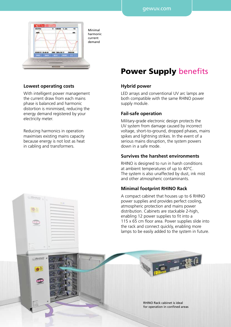

Minimal harmonic current demand

#### **Lowest operating costs**

With intelligent power management the current draw from each mains phase is balanced and harmonic distortion is minimised, reducing the energy demand registered by your electricity meter.

Reducing harmonics in operation maximises existing mains capacity because energy is not lost as heat in cabling and transformers.

RHINO

OA.

RHINO

# Power Supply benefits

#### **Hybrid power**

LED arrays and conventional UV arc lamps are both compatible with the same RHINO power supply module.

#### **Fail-safe operation**

Military-grade electronic design protects the UV system from damage caused by incorrect voltage, short-to-ground, dropped phases, mains spikes and lightning strikes. In the event of a serious mains disruption, the system powers down in a safe mode.

#### **Survives the harshest environments**

RHINO is designed to run in harsh conditions at ambient temperatures of up to 40°C. The system is also unaffected by dust, ink mist and other atmospheric contaminants.

#### **Minimal footprint RHINO Rack**

A compact cabinet that houses up to 6 RHINO power supplies and provides perfect cooling, atmospheric protection and mains power distribution. Cabinets are stackable 2-high, enabling 12 power supplies to fit into a 115 x 65 cm floor area. Power supplies slide into the rack and connect quickly, enabling more lamps to be easily added to the system in future.

> RHINO Rack cabinet is ideal for operation in confined areas

三窗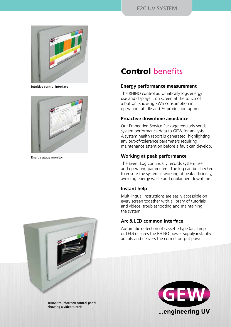

Intuitive control interface



Energy usage monitor



### **Energy performance measurement**

The RHINO control automatically logs energy use and displays it on screen at the touch of a button, showing kWh consumption in operation, at idle and % production uptime.

### **Proactive downtime avoidance**

Our Embedded Service Package regularly sends system performance data to GEW for analysis. A system health report is generated, highlighting any out-of-tolerance parameters requiring maintenance attention before a fault can develop.

### **Working at peak performance**

The Event Log continually records system use and operating parameters. The log can be checked to ensure the system is working at peak efficiency, avoiding energy waste and unplanned downtime.

### **Instant help**

Multilingual instructions are easily accessible on every screen together with a library of tutorials and videos, troubleshooting and maintaining the system.

### **Arc & LED common interface**

Automatic detection of cassette type (arc lamp or LED) ensures the RHINO power supply instantly adapts and delivers the correct output power.



RHINO touchscreen control panel showing a video tutorial